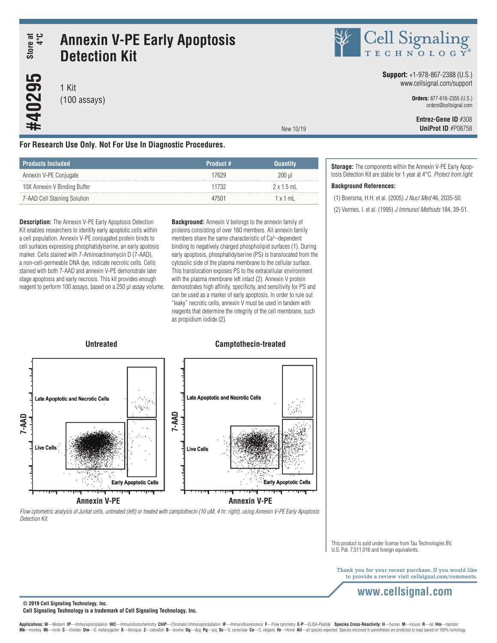# **Annexin V-PE Early Apoptosis Detection Kit Store at 4°C**

1 Kit (100 assays)

**#40295**

SE Cell Signaling

#### **Support:** +1-978-867-2388 (U.S.) www.cellsignal.com/support

**Orders:** 877-616-2355 (U.S.) orders@cellsignal.com

 **Entrez-Gene ID** #308 **UniProt ID** #P08758

# **For Research Use Only. Not For Use In Diagnostic Procedures.**

| : Products Included          | Product # | Ouantitv          |
|------------------------------|-----------|-------------------|
| Annexin V-PE Conjugate       | 17629     | 200 ul            |
| 10X Annexin V Binding Buffer | 11732     | $2 \times 1.5$ mL |
| 7-AAD Cell Staining Solution | 47501     | 1x1m              |

**Description:** The Annexin V-PE Early Apoptosis Detection Kit enables researchers to identify early apoptotic cells within a cell population. Annexin V-PE conjugated protein binds to cell surfaces expressing phosphatidylserine, an early apotosis marker. Cells stained with 7-Aminoactinomycin D (7-AAD), a non-cell-permeable DNA dye, indicate necrotic cells. Cells stained with both 7-AAD and annexin V-PE demonstrate later stage apoptosis and early necrosis. This kit provides enough reagent to perform 100 assays, based on a 250 μl assay volume. **Background:** Annexin V belongs to the annexin family of proteins consisting of over 160 members. All annexin family members share the same characteristic of Ca2+-dependent binding to negatively charged phospholipid surfaces (1). During early apoptosis, phosphatidylserine (PS) is translocated from the cytosolic side of the plasma membrane to the cellular surface. This translocation exposes PS to the extracellular environment with the plasma membrane left intact (2). Annexin V protein demonstrates high affinity, specificity, and sensitivity for PS and can be used as a marker of early apoptosis. In order to rule out "leaky" necrotic cells, annexin V must be used in tandem with reagents that determine the integrity of the cell membrane, such as propidium iodide (2).

New 10/19

**Storage:** The components within the Annexin V-PE Early Apoptosis Detection Kit are stable for 1 year at 4°C. *Protect from light*.

## **Background References:**

(1) Boersma, H.H. et al. (2005) *J Nucl Med* 46, 2035-50.

(2) Vermes, I. et al. (1995) *J Immunol Methods* 184, 39-51.



*Flow cytometric analysis of Jurkat cells, untreated (left) or treated with camptothecin (10 uM, 4 hr; right), using Annexin V-PE Early Apoptosis Detection Kit.*

> This product is sold under license from Tau Technologies BV, U.S. Pat. 7,511,016 and foreign equivalents.

Thank you for your recent purchase. If you would like to provide a review visit cellsignal.com/comments.

# **www.cellsignal.com**

**© 2019 Cell Signaling Technology, Inc.**

#### **Cell Signaling Technology is a trademark of Cell Signaling Technology, Inc.**

Applications: W-Western IP-Immunoprecipitation IHC-Immunohistochemistry ChIP-Chromatin Immunoprecipitation IF-Immunofluorescence F-Flow cytometry E-P-ELISA-Peptide Species Cross-Reactivity: H-human M-mouse R-rat Hm-hamster Mk-monkey Mi-mink C-chicken Dm-D. melanogaster X-Xenopus Z-zebrafish B-bovine Dg-dog Pg-pig Sc-S. cerevisiae Ce-C. elegans Hr-Horse All-all species expected Species enclosed in parentheses are predicted to react based on 1